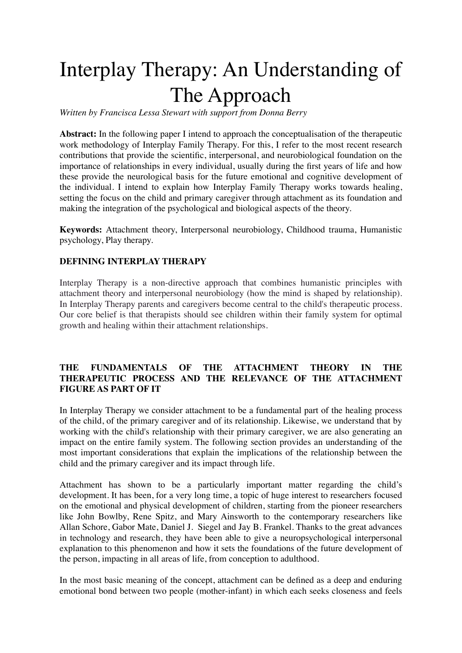# Interplay Therapy: An Understanding of The Approach

*Written by Francisca Lessa Stewart with support from Donna Berry*

**Abstract:** In the following paper I intend to approach the conceptualisation of the therapeutic work methodology of Interplay Family Therapy. For this, I refer to the most recent research contributions that provide the scientific, interpersonal, and neurobiological foundation on the importance of relationships in every individual, usually during the first years of life and how these provide the neurological basis for the future emotional and cognitive development of the individual. I intend to explain how Interplay Family Therapy works towards healing, setting the focus on the child and primary caregiver through attachment as its foundation and making the integration of the psychological and biological aspects of the theory.

**Keywords:** Attachment theory, Interpersonal neurobiology, Childhood trauma, Humanistic psychology, Play therapy.

### **DEFINING INTERPLAY THERAPY**

Interplay Therapy is a non-directive approach that combines humanistic principles with attachment theory and interpersonal neurobiology (how the mind is shaped by relationship). In Interplay Therapy parents and caregivers become central to the child's therapeutic process. Our core belief is that therapists should see children within their family system for optimal growth and healing within their attachment relationships.

#### **THE FUNDAMENTALS OF THE ATTACHMENT THEORY IN THE THERAPEUTIC PROCESS AND THE RELEVANCE OF THE ATTACHMENT FIGURE AS PART OF IT**

In Interplay Therapy we consider attachment to be a fundamental part of the healing process of the child, of the primary caregiver and of its relationship. Likewise, we understand that by working with the child's relationship with their primary caregiver, we are also generating an impact on the entire family system. The following section provides an understanding of the most important considerations that explain the implications of the relationship between the child and the primary caregiver and its impact through life.

Attachment has shown to be a particularly important matter regarding the child's development. It has been, for a very long time, a topic of huge interest to researchers focused on the emotional and physical development of children, starting from the pioneer researchers like John Bowlby, Rene Spitz, and Mary Ainsworth to the contemporary researchers like Allan Schore, Gabor Mate, Daniel J. Siegel and Jay B. Frankel. Thanks to the great advances in technology and research, they have been able to give a neuropsychological interpersonal explanation to this phenomenon and how it sets the foundations of the future development of the person, impacting in all areas of life, from conception to adulthood.

In the most basic meaning of the concept, attachment can be defined as a deep and enduring emotional bond between two people (mother-infant) in which each seeks closeness and feels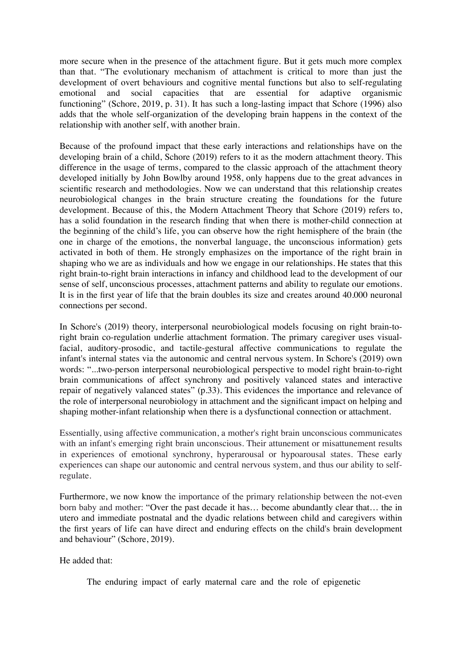more secure when in the presence of the attachment figure. But it gets much more complex than that. "The evolutionary mechanism of attachment is critical to more than just the development of overt behaviours and cognitive mental functions but also to self-regulating emotional and social capacities that are essential for adaptive organismic functioning" (Schore, 2019, p. 31). It has such a long-lasting impact that Schore (1996) also adds that the whole self-organization of the developing brain happens in the context of the relationship with another self, with another brain.

Because of the profound impact that these early interactions and relationships have on the developing brain of a child, Schore (2019) refers to it as the modern attachment theory. This difference in the usage of terms, compared to the classic approach of the attachment theory developed initially by John Bowlby around 1958, only happens due to the great advances in scientific research and methodologies. Now we can understand that this relationship creates neurobiological changes in the brain structure creating the foundations for the future development. Because of this, the Modern Attachment Theory that Schore (2019) refers to, has a solid foundation in the research finding that when there is mother-child connection at the beginning of the child's life, you can observe how the right hemisphere of the brain (the one in charge of the emotions, the nonverbal language, the unconscious information) gets activated in both of them. He strongly emphasizes on the importance of the right brain in shaping who we are as individuals and how we engage in our relationships. He states that this right brain-to-right brain interactions in infancy and childhood lead to the development of our sense of self, unconscious processes, attachment patterns and ability to regulate our emotions. It is in the first year of life that the brain doubles its size and creates around 40.000 neuronal connections per second.

In Schore's (2019) theory, interpersonal neurobiological models focusing on right brain-toright brain co-regulation underlie attachment formation. The primary caregiver uses visualfacial, auditory-prosodic, and tactile-gestural affective communications to regulate the infant's internal states via the autonomic and central nervous system. In Schore's (2019) own words: "...two-person interpersonal neurobiological perspective to model right brain-to-right brain communications of affect synchrony and positively valanced states and interactive repair of negatively valanced states" (p.33). This evidences the importance and relevance of the role of interpersonal neurobiology in attachment and the significant impact on helping and shaping mother-infant relationship when there is a dysfunctional connection or attachment.

Essentially, using affective communication, a mother's right brain unconscious communicates with an infant's emerging right brain unconscious. Their attunement or misattunement results in experiences of emotional synchrony, hyperarousal or hypoarousal states. These early experiences can shape our autonomic and central nervous system, and thus our ability to selfregulate.

Furthermore, we now know the importance of the primary relationship between the not-even born baby and mother: "Over the past decade it has… become abundantly clear that… the in utero and immediate postnatal and the dyadic relations between child and caregivers within the first years of life can have direct and enduring effects on the child's brain development and behaviour" (Schore, 2019).

He added that:

The enduring impact of early maternal care and the role of epigenetic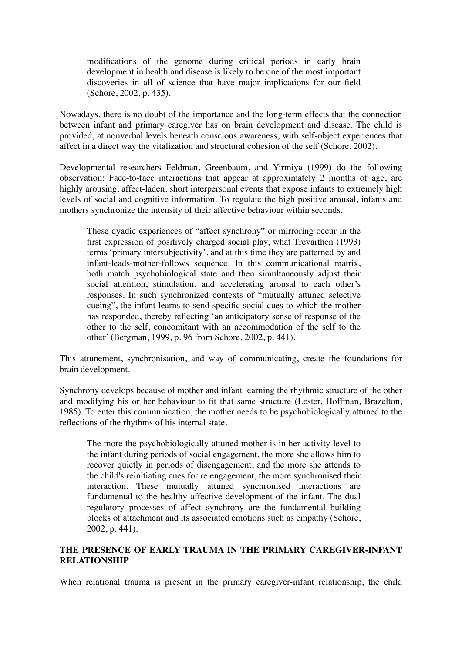modifications of the genome during critical periods in early brain development in health and disease is likely to be one of the most important discoveries in all of science that have major implications for our field (Schore, 2002, p. 435).

Nowadays, there is no doubt of the importance and the long-term effects that the connection between infant and primary caregiver has on brain development and disease. The child is provided, at nonverbal levels beneath conscious awareness, with self-object experiences that affect in a direct way the vitalization and structural cohesion of the self (Schore, 2002).

Developmental researchers Feldman, Greenbaum, and Yirmiya (1999) do the following observation: Face-to-face interactions that appear at approximately 2 months of age, are highly arousing, affect-laden, short interpersonal events that expose infants to extremely high levels of social and cognitive information. To regulate the high positive arousal, infants and mothers synchronize the intensity of their affective behaviour within seconds.

These dyadic experiences of "affect synchrony" or mirroring occur in the first expression of positively charged social play, what Trevarthen (1993) terms 'primary intersubjectivity', and at this time they are patterned by and infant-leads-mother-follows sequence. In this communicational matrix, both match psychobiological state and then simultaneously adjust their social attention, stimulation, and accelerating arousal to each other's responses. In such synchronized contexts of "mutually attuned selective cueing", the infant learns to send specific social cues to which the mother has responded, thereby reflecting 'an anticipatory sense of response of the other to the self, concomitant with an accommodation of the self to the other' (Bergman, 1999, p. 96 from Schore, 2002, p. 441).

This attunement, synchronisation, and way of communicating, create the foundations for brain development.

Synchrony develops because of mother and infant learning the rhythmic structure of the other and modifying his or her behaviour to fit that same structure (Lester, Hoffman, Brazelton, 1985). To enter this communication, the mother needs to be psychobiologically attuned to the reflections of the rhythms of his internal state.

The more the psychobiologically attuned mother is in her activity level to the infant during periods of social engagement, the more she allows him to recover quietly in periods of disengagement, and the more she attends to the child's reinitiating cues for re engagement, the more synchronised their interaction. These mutually attuned synchronised interactions are fundamental to the healthy affective development of the infant. The dual regulatory processes of affect synchrony are the fundamental building blocks of attachment and its associated emotions such as empathy (Schore, 2002, p. 441).

#### **THE PRESENCE OF EARLY TRAUMA IN THE PRIMARY CAREGIVER-INFANT RELATIONSHIP**

When relational trauma is present in the primary caregiver-infant relationship, the child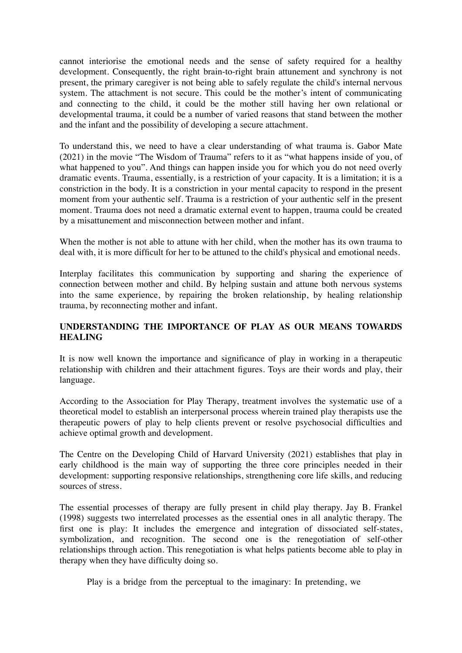cannot interiorise the emotional needs and the sense of safety required for a healthy development. Consequently, the right brain-to-right brain attunement and synchrony is not present, the primary caregiver is not being able to safely regulate the child's internal nervous system. The attachment is not secure. This could be the mother's intent of communicating and connecting to the child, it could be the mother still having her own relational or developmental trauma, it could be a number of varied reasons that stand between the mother and the infant and the possibility of developing a secure attachment.

To understand this, we need to have a clear understanding of what trauma is. Gabor Mate (2021) in the movie "The Wisdom of Trauma" refers to it as "what happens inside of you, of what happened to you". And things can happen inside you for which you do not need overly dramatic events. Trauma, essentially, is a restriction of your capacity. It is a limitation; it is a constriction in the body. It is a constriction in your mental capacity to respond in the present moment from your authentic self. Trauma is a restriction of your authentic self in the present moment. Trauma does not need a dramatic external event to happen, trauma could be created by a misattunement and misconnection between mother and infant.

When the mother is not able to attune with her child, when the mother has its own trauma to deal with, it is more difficult for her to be attuned to the child's physical and emotional needs.

Interplay facilitates this communication by supporting and sharing the experience of connection between mother and child. By helping sustain and attune both nervous systems into the same experience, by repairing the broken relationship, by healing relationship trauma, by reconnecting mother and infant.

### **UNDERSTANDING THE IMPORTANCE OF PLAY AS OUR MEANS TOWARDS HEALING**

It is now well known the importance and significance of play in working in a therapeutic relationship with children and their attachment figures. Toys are their words and play, their language.

According to the Association for Play Therapy, treatment involves the systematic use of a theoretical model to establish an interpersonal process wherein trained play therapists use the therapeutic powers of play to help clients prevent or resolve psychosocial difficulties and achieve optimal growth and development.

The Centre on the Developing Child of Harvard University (2021) establishes that play in early childhood is the main way of supporting the three core principles needed in their development: supporting responsive relationships, strengthening core life skills, and reducing sources of stress.

The essential processes of therapy are fully present in child play therapy. Jay B. Frankel (1998) suggests two interrelated processes as the essential ones in all analytic therapy. The first one is play: It includes the emergence and integration of dissociated self-states, symbolization, and recognition. The second one is the renegotiation of self-other relationships through action. This renegotiation is what helps patients become able to play in therapy when they have difficulty doing so.

Play is a bridge from the perceptual to the imaginary: In pretending, we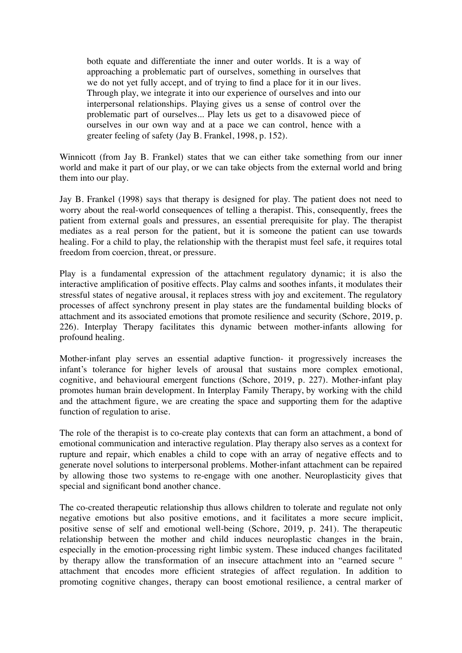both equate and differentiate the inner and outer worlds. It is a way of approaching a problematic part of ourselves, something in ourselves that we do not yet fully accept, and of trying to find a place for it in our lives. Through play, we integrate it into our experience of ourselves and into our interpersonal relationships. Playing gives us a sense of control over the problematic part of ourselves... Play lets us get to a disavowed piece of ourselves in our own way and at a pace we can control, hence with a greater feeling of safety (Jay B. Frankel, 1998, p. 152).

Winnicott (from Jay B. Frankel) states that we can either take something from our inner world and make it part of our play, or we can take objects from the external world and bring them into our play.

Jay B. Frankel (1998) says that therapy is designed for play. The patient does not need to worry about the real-world consequences of telling a therapist. This, consequently, frees the patient from external goals and pressures, an essential prerequisite for play. The therapist mediates as a real person for the patient, but it is someone the patient can use towards healing. For a child to play, the relationship with the therapist must feel safe, it requires total freedom from coercion, threat, or pressure.

Play is a fundamental expression of the attachment regulatory dynamic; it is also the interactive amplification of positive effects. Play calms and soothes infants, it modulates their stressful states of negative arousal, it replaces stress with joy and excitement. The regulatory processes of affect synchrony present in play states are the fundamental building blocks of attachment and its associated emotions that promote resilience and security (Schore, 2019, p. 226). Interplay Therapy facilitates this dynamic between mother-infants allowing for profound healing.

Mother-infant play serves an essential adaptive function- it progressively increases the infant's tolerance for higher levels of arousal that sustains more complex emotional, cognitive, and behavioural emergent functions (Schore, 2019, p. 227). Mother-infant play promotes human brain development. In Interplay Family Therapy, by working with the child and the attachment figure, we are creating the space and supporting them for the adaptive function of regulation to arise.

The role of the therapist is to co-create play contexts that can form an attachment, a bond of emotional communication and interactive regulation. Play therapy also serves as a context for rupture and repair, which enables a child to cope with an array of negative effects and to generate novel solutions to interpersonal problems. Mother-infant attachment can be repaired by allowing those two systems to re-engage with one another. Neuroplasticity gives that special and significant bond another chance.

The co-created therapeutic relationship thus allows children to tolerate and regulate not only negative emotions but also positive emotions, and it facilitates a more secure implicit, positive sense of self and emotional well-being (Schore, 2019, p. 241). The therapeutic relationship between the mother and child induces neuroplastic changes in the brain, especially in the emotion-processing right limbic system. These induced changes facilitated by therapy allow the transformation of an insecure attachment into an "earned secure '' attachment that encodes more efficient strategies of affect regulation. In addition to promoting cognitive changes, therapy can boost emotional resilience, a central marker of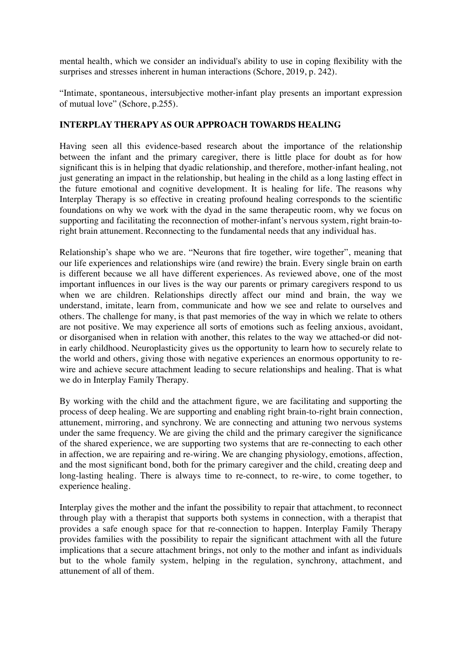mental health, which we consider an individual's ability to use in coping flexibility with the surprises and stresses inherent in human interactions (Schore, 2019, p. 242).

"Intimate, spontaneous, intersubjective mother-infant play presents an important expression of mutual love" (Schore, p.255).

### **INTERPLAY THERAPY AS OUR APPROACH TOWARDS HEALING**

Having seen all this evidence-based research about the importance of the relationship between the infant and the primary caregiver, there is little place for doubt as for how significant this is in helping that dyadic relationship, and therefore, mother-infant healing, not just generating an impact in the relationship, but healing in the child as a long lasting effect in the future emotional and cognitive development. It is healing for life. The reasons why Interplay Therapy is so effective in creating profound healing corresponds to the scientific foundations on why we work with the dyad in the same therapeutic room, why we focus on supporting and facilitating the reconnection of mother-infant's nervous system, right brain-toright brain attunement. Reconnecting to the fundamental needs that any individual has.

Relationship's shape who we are. "Neurons that fire together, wire together", meaning that our life experiences and relationships wire (and rewire) the brain. Every single brain on earth is different because we all have different experiences. As reviewed above, one of the most important influences in our lives is the way our parents or primary caregivers respond to us when we are children. Relationships directly affect our mind and brain, the way we understand, imitate, learn from, communicate and how we see and relate to ourselves and others. The challenge for many, is that past memories of the way in which we relate to others are not positive. We may experience all sorts of emotions such as feeling anxious, avoidant, or disorganised when in relation with another, this relates to the way we attached-or did notin early childhood. Neuroplasticity gives us the opportunity to learn how to securely relate to the world and others, giving those with negative experiences an enormous opportunity to rewire and achieve secure attachment leading to secure relationships and healing. That is what we do in Interplay Family Therapy.

By working with the child and the attachment figure, we are facilitating and supporting the process of deep healing. We are supporting and enabling right brain-to-right brain connection, attunement, mirroring, and synchrony. We are connecting and attuning two nervous systems under the same frequency. We are giving the child and the primary caregiver the significance of the shared experience, we are supporting two systems that are re-connecting to each other in affection, we are repairing and re-wiring. We are changing physiology, emotions, affection, and the most significant bond, both for the primary caregiver and the child, creating deep and long-lasting healing. There is always time to re-connect, to re-wire, to come together, to experience healing.

Interplay gives the mother and the infant the possibility to repair that attachment, to reconnect through play with a therapist that supports both systems in connection, with a therapist that provides a safe enough space for that re-connection to happen. Interplay Family Therapy provides families with the possibility to repair the significant attachment with all the future implications that a secure attachment brings, not only to the mother and infant as individuals but to the whole family system, helping in the regulation, synchrony, attachment, and attunement of all of them.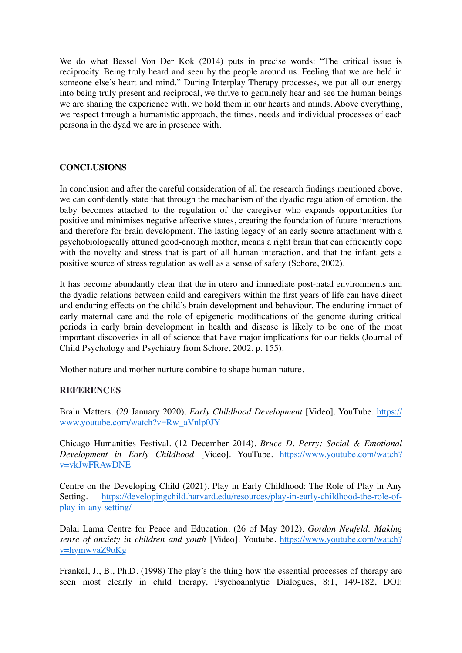We do what Bessel Von Der Kok (2014) puts in precise words: "The critical issue is reciprocity. Being truly heard and seen by the people around us. Feeling that we are held in someone else's heart and mind." During Interplay Therapy processes, we put all our energy into being truly present and reciprocal, we thrive to genuinely hear and see the human beings we are sharing the experience with, we hold them in our hearts and minds. Above everything, we respect through a humanistic approach, the times, needs and individual processes of each persona in the dyad we are in presence with.

### **CONCLUSIONS**

In conclusion and after the careful consideration of all the research findings mentioned above, we can confidently state that through the mechanism of the dyadic regulation of emotion, the baby becomes attached to the regulation of the caregiver who expands opportunities for positive and minimises negative affective states, creating the foundation of future interactions and therefore for brain development. The lasting legacy of an early secure attachment with a psychobiologically attuned good-enough mother, means a right brain that can efficiently cope with the novelty and stress that is part of all human interaction, and that the infant gets a positive source of stress regulation as well as a sense of safety (Schore, 2002).

It has become abundantly clear that the in utero and immediate post-natal environments and the dyadic relations between child and caregivers within the first years of life can have direct and enduring effects on the child's brain development and behaviour. The enduring impact of early maternal care and the role of epigenetic modifications of the genome during critical periods in early brain development in health and disease is likely to be one of the most important discoveries in all of science that have major implications for our fields (Journal of Child Psychology and Psychiatry from Schore, 2002, p. 155).

Mother nature and mother nurture combine to shape human nature.

## **REFERENCES**

Brain Matters. (29 January 2020). *Early Childhood Development* [Video]. YouTube. https:// www.youtube.com/watch?v=Rw\_aVnlp0JY

Chicago Humanities Festival. (12 December 2014). *Bruce D. Perry: Social & Emotional Development in Early Childhood* [Video]. YouTube. https://www.youtube.com/watch? v=vkJwFRAwDNE

Centre on the Developing Child (2021). Play in Early Childhood: The Role of Play in Any Setting. https://developingchild.harvard.edu/resources/play-in-early-childhood-the-role-ofplay-in-any-setting/

Dalai Lama Centre for Peace and Education. (26 of May 2012). *Gordon Neufeld: Making sense of anxiety in children and youth* [Video]. Youtube. https://www.youtube.com/watch? v=hymwvaZ9oKg

Frankel, J., B., Ph.D. (1998) The play's the thing how the essential processes of therapy are seen most clearly in child therapy, Psychoanalytic Dialogues, 8:1, 149-182, DOI: